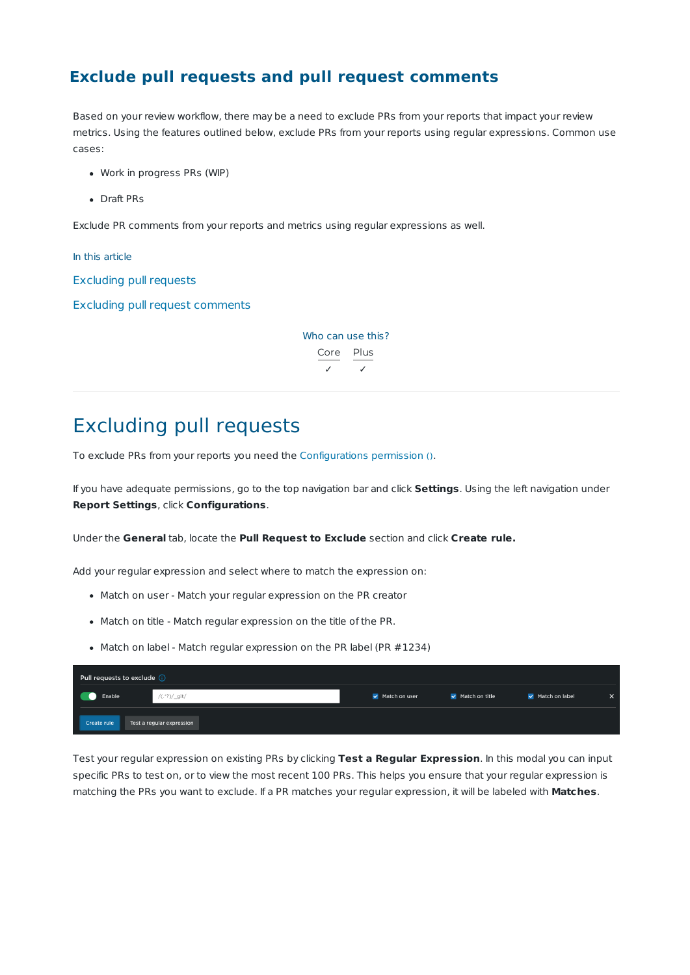## **Exclude pull requests and pull request comments**

Based on your review workflow, there may be a need to exclude PRs from your reports that impact your review metrics. Using the features outlined below, exclude PRs from your reports using regular expressions. Common use cases:

- Work in progress PRs (WIP)
- Draft PRs

Exclude PR comments from your reports and metrics using regular expressions as well.

In this article

Excluding pull requests

Excluding pull request comments

| Who can use this? |      |  |  |
|-------------------|------|--|--|
| Core              | Plus |  |  |
|                   |      |  |  |

# Excluding pull requests

To exclude PRs from your reports you need the Configurations permission ().

If you have adequate permissions, go to the top navigation bar and click **Settings**. Using the left navigation under **Report Settings**, click **Configurations**.

Under the **General** tab, locate the **Pull Request to Exclude** section and click **Create rule.**

Add your regular expression and select where to match the expression on:

- Match on user Match your regular expression on the PR creator
- Match on title Match regular expression on the title of the PR.
- Match on label Match regular expression on the PR label (PR #1234)

| Pull requests to exclude (i) |                           |               |                          |                |          |
|------------------------------|---------------------------|---------------|--------------------------|----------------|----------|
| Enable                       | /(.*?)/_git/              | Match on user | $\sqrt{}$ Match on title | Match on label | $\times$ |
| Create rule                  | Test a regular expression |               |                          |                |          |

Test your regular expression on existing PRs by clicking **Test a Regular Expression**. In this modal you can input specific PRs to test on, or to view the most recent 100 PRs. This helps you ensure that your regular expression is matching the PRs you want to exclude. If a PR matches your regular expression, it will be labeled with **Matches**.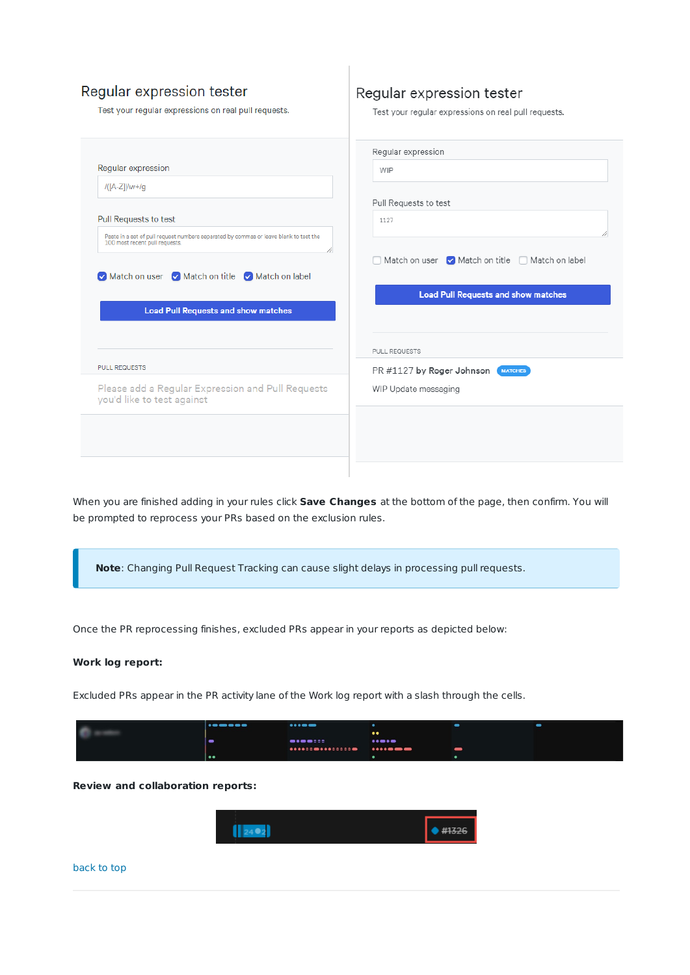### Regular expression tester

Test your regular expressions on real pull requests.

### Regular expression tester

Test your regular expressions on real pull requests.

|                                                                                                                         | Regular expression                                        |
|-------------------------------------------------------------------------------------------------------------------------|-----------------------------------------------------------|
| Regular expression                                                                                                      | WIP                                                       |
| $/([A-Z])\w +/g$                                                                                                        |                                                           |
|                                                                                                                         | Pull Requests to test                                     |
| Pull Requests to test                                                                                                   | 1127                                                      |
| Paste in a set of pull request numbers separated by commas or leave blank to test the<br>100 most recent pull requests. |                                                           |
| 4                                                                                                                       | Match on user $\Box$ Match on title $\Box$ Match on label |
| Match on user Match on title Match on label                                                                             |                                                           |
|                                                                                                                         | <b>Load Pull Requests and show matches</b>                |
| <b>Load Pull Requests and show matches</b>                                                                              |                                                           |
|                                                                                                                         |                                                           |
|                                                                                                                         | PULL REQUESTS                                             |
| <b>PULL REQUESTS</b>                                                                                                    | PR #1127 by Roger Johnson<br><b>MATCHES</b>               |
| Please add a Regular Expression and Pull Requests<br>you'd like to test against                                         | WIP Update messaging                                      |
|                                                                                                                         |                                                           |
|                                                                                                                         |                                                           |
|                                                                                                                         |                                                           |
|                                                                                                                         |                                                           |

When you are finished adding in your rules click **Save Changes** at the bottom of the page, then confirm. You will be prompted to reprocess your PRs based on the exclusion rules.

**Note**: Changing Pull Request Tracking can cause slight delays in processing pull requests.

Once the PR reprocessing finishes, excluded PRs appear in your reports as depicted below:

#### **Work log report:**

Excluded PRs appear in the PR activity lane of the Work log report with a slash through the cells.

| $\sim$ $\sim$ $\sim$ $\sim$ $\sim$ $\sim$ $\sim$ |                                                                                                           |                                       |  |
|--------------------------------------------------|-----------------------------------------------------------------------------------------------------------|---------------------------------------|--|
|                                                  |                                                                                                           | $\bullet$                             |  |
|                                                  | $\begin{array}{cccccccccccccc} \bullet\bullet\bullet\bullet\bullet\bullet\circ\circ\circ\circ\end{array}$ | $\bullet\bullet\bullet\bullet\bullet$ |  |
|                                                  |                                                                                                           |                                       |  |
| $\bullet\bullet$                                 |                                                                                                           |                                       |  |

#### **Review and collaboration reports:**

|--|

### back to top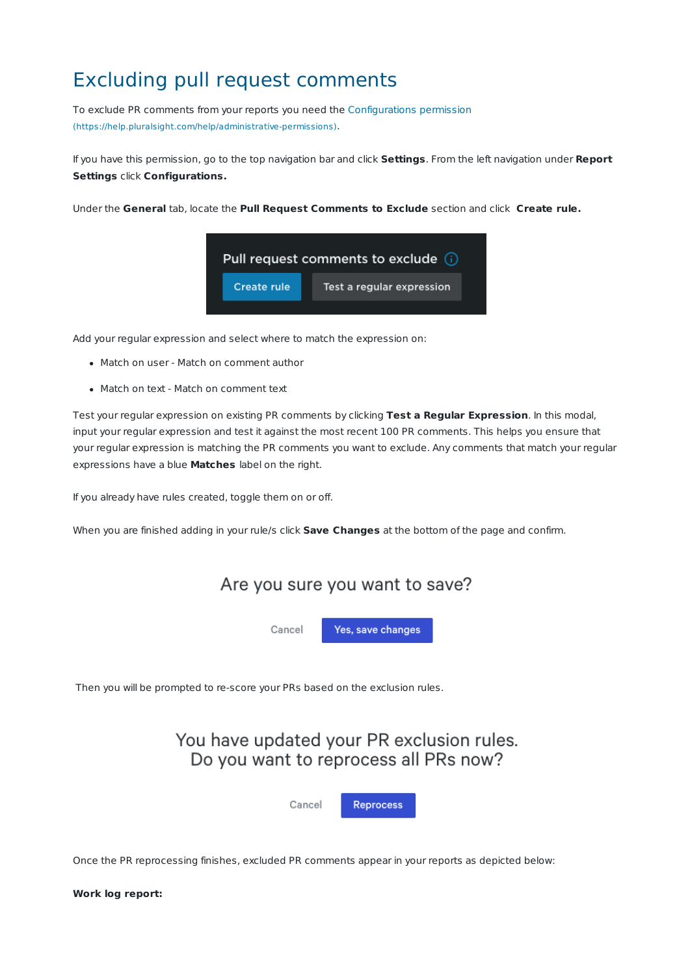# Excluding pull request comments

To exclude PR comments from your reports you need the Configurations permission (https://help.pluralsight.com/help/administrative-permissions).

If you have this permission, go to the top navigation bar and click **Settings**. From the left navigation under **Report Settings** click **Configurations.**

Under the **General** tab, locate the **Pull Request Comments to Exclude** section and click **Create rule.**



Add your regular expression and select where to match the expression on:

- Match on user Match on comment author
- Match on text Match on comment text

Test your regular expression on existing PR comments by clicking **Test a Regular Expression**. In this modal, input your regular expression and test it against the most recent 100 PR comments. This helps you ensure that your regular expression is matching the PR comments you want to exclude. Any comments that match your regular expressions have a blue **Matches** label on the right.

If you already have rules created, toggle them on or off.

When you are finished adding in your rule/s click **Save Changes** at the bottom of the page and confirm.

## Are you sure you want to save?

Cancel

Yes, save changes

Then you will be prompted to re-score your PRs based on the exclusion rules.

## You have updated your PR exclusion rules. Do you want to reprocess all PRs now?

Cancel

**Reprocess** 

Once the PR reprocessing finishes, excluded PR comments appear in your reports as depicted below:

### **Work log report:**